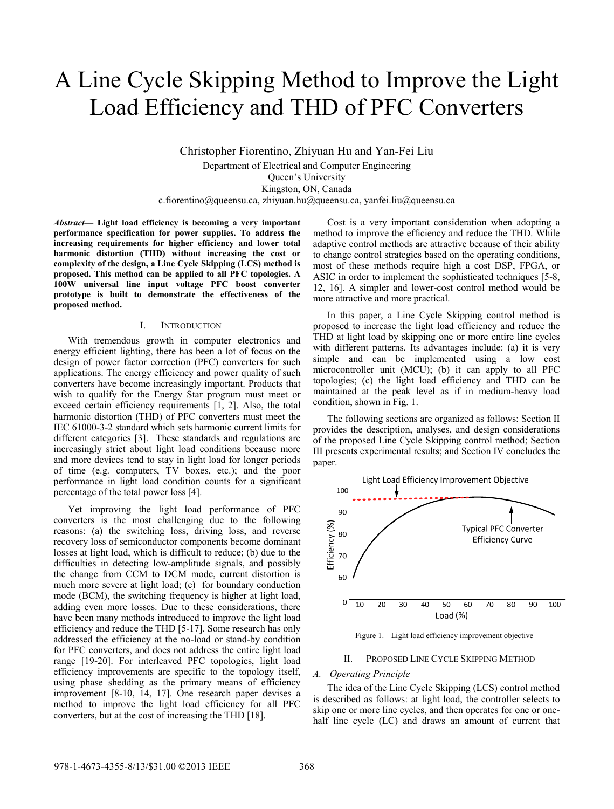# A Line Cycle Skipping Method to Improve the Light Load Efficiency and THD of PFC Converters

Christopher Fiorentino, Zhiyuan Hu and Yan-Fei Liu Department of Electrical and Computer Engineering Queen's University Kingston, ON, Canada c.fiorentino@queensu.ca, zhiyuan.hu@queensu.ca, yanfei.liu@queensu.ca

*Abstract***— Light load efficiency is becoming a very important performance specification for power supplies. To address the increasing requirements for higher efficiency and lower total harmonic distortion (THD) without increasing the cost or complexity of the design, a Line Cycle Skipping (LCS) method is proposed. This method can be applied to all PFC topologies. A 100W universal line input voltage PFC boost converter prototype is built to demonstrate the effectiveness of the proposed method.**

#### I. INTRODUCTION

With tremendous growth in computer electronics and energy efficient lighting, there has been a lot of focus on the design of power factor correction (PFC) converters for such applications. The energy efficiency and power quality of such converters have become increasingly important. Products that wish to qualify for the Energy Star program must meet or exceed certain efficiency requirements [1, 2]. Also, the total harmonic distortion (THD) of PFC converters must meet the IEC 61000-3-2 standard which sets harmonic current limits for different categories [3]. These standards and regulations are increasingly strict about light load conditions because more and more devices tend to stay in light load for longer periods of time (e.g. computers, TV boxes, etc.); and the poor performance in light load condition counts for a significant percentage of the total power loss [4].

Yet improving the light load performance of PFC converters is the most challenging due to the following reasons: (a) the switching loss, driving loss, and reverse recovery loss of semiconductor components become dominant losses at light load, which is difficult to reduce; (b) due to the difficulties in detecting low-amplitude signals, and possibly the change from CCM to DCM mode, current distortion is much more severe at light load; (c) for boundary conduction mode (BCM), the switching frequency is higher at light load, adding even more losses. Due to these considerations, there have been many methods introduced to improve the light load efficiency and reduce the THD [5-17]. Some research has only addressed the efficiency at the no-load or stand-by condition for PFC converters, and does not address the entire light load range [19-20]. For interleaved PFC topologies, light load efficiency improvements are specific to the topology itself, using phase shedding as the primary means of efficiency improvement [8-10, 14, 17]. One research paper devises a method to improve the light load efficiency for all PFC converters, but at the cost of increasing the THD [18].

Cost is a very important consideration when adopting a method to improve the efficiency and reduce the THD. While adaptive control methods are attractive because of their ability to change control strategies based on the operating conditions, most of these methods require high a cost DSP, FPGA, or ASIC in order to implement the sophisticated techniques [5-8, 12, 16]. A simpler and lower-cost control method would be more attractive and more practical.

In this paper, a Line Cycle Skipping control method is proposed to increase the light load efficiency and reduce the THD at light load by skipping one or more entire line cycles with different patterns. Its advantages include: (a) it is very simple and can be implemented using a low cost microcontroller unit (MCU); (b) it can apply to all PFC topologies; (c) the light load efficiency and THD can be maintained at the peak level as if in medium-heavy load condition, shown in Fig. 1.

The following sections are organized as follows: Section II provides the description, analyses, and design considerations of the proposed Line Cycle Skipping control method; Section III presents experimental results; and Section IV concludes the paper.



Figure 1. Light load efficiency improvement objective

## II. PROPOSED LINE CYCLE SKIPPING METHOD

### *A. Operating Principle*

The idea of the Line Cycle Skipping (LCS) control method is described as follows: at light load, the controller selects to skip one or more line cycles, and then operates for one or onehalf line cycle (LC) and draws an amount of current that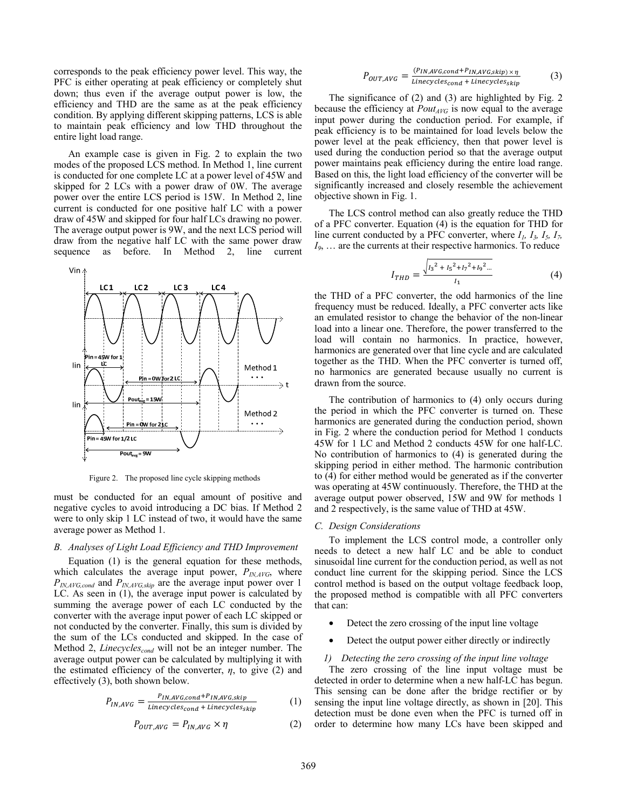corresponds to the peak efficiency power level. This way, the PFC is either operating at peak efficiency or completely shut down; thus even if the average output power is low, the efficiency and THD are the same as at the peak efficiency condition. By applying different skipping patterns, LCS is able to maintain peak efficiency and low THD throughout the entire light load range.

An example case is given in Fig. 2 to explain the two modes of the proposed LCS method. In Method 1, line current is conducted for one complete LC at a power level of 45W and skipped for 2 LCs with a power draw of 0W. The average power over the entire LCS period is 15W. In Method 2, line current is conducted for one positive half LC with a power draw of 45W and skipped for four half LCs drawing no power. The average output power is 9W, and the next LCS period will draw from the negative half LC with the same power draw sequence as before. In Method 2, line current



Figure 2. The proposed line cycle skipping methods

must be conducted for an equal amount of positive and negative cycles to avoid introducing a DC bias. If Method 2 were to only skip 1 LC instead of two, it would have the same average power as Method 1.

#### B. Analyses of Light Load Efficiency and THD Improvement

Equation (1) is the general equation for these methods, which calculates the average input power,  $P_{IN, AVG}$ , where  $P_{IN,AVG,cond}$  and  $P_{IN,AVG,skip}$  are the average input power over 1 LC. As seen in (1), the average input power is calculated by summing the average power of each LC conducted by the converter with the average input power of each LC skipped or not conducted by the converter. Finally, this sum is divided by the sum of the LCs conducted and skipped. In the case of Method 2, *Linecycles<sub>cond</sub>* will not be an integer number. The average output power can be calculated by multiplying it with the estimated efficiency of the converter,  $\eta$ , to give (2) and effectively (3), both shown below.

$$
P_{IN,AVG} = \frac{P_{IN,AVG,cond} + P_{IN,AVG,skip}}{Linecycles_{cond} + Linecycles_{skip}} \tag{1}
$$

$$
P_{OUT,AVG} = P_{IN,AVG} \times \eta \tag{2}
$$

$$
P_{OUT, AVG} = \frac{(P_{IN,AVG,cond} + P_{IN,AVG,skip)} \times \eta}{Line cycles_{cond} + Line cycles_{skip}} \tag{3}
$$

The significance of  $(2)$  and  $(3)$  are highlighted by Fig. 2 because the efficiency at  $Pout_{AVG}$  is now equal to the average input power during the conduction period. For example, if peak efficiency is to be maintained for load levels below the power level at the peak efficiency, then that power level is used during the conduction period so that the average output power maintains peak efficiency during the entire load range. Based on this, the light load efficiency of the converter will be significantly increased and closely resemble the achievement objective shown in Fig. 1.

The LCS control method can also greatly reduce the THD of a PFC converter. Equation (4) is the equation for THD for line current conducted by a PFC converter, where  $I_1$ ,  $I_3$ ,  $I_5$ ,  $I_7$ ,  $I_9$ , ... are the currents at their respective harmonics. To reduce

$$
I_{THD} = \frac{\sqrt{I_3^2 + I_5^2 + I_7^2 + I_9^2 \dots}}{I_1}
$$
 (4)

the THD of a PFC converter, the odd harmonics of the line frequency must be reduced. Ideally, a PFC converter acts like an emulated resistor to change the behavior of the non-linear load into a linear one. Therefore, the power transferred to the load will contain no harmonics. In practice, however, harmonics are generated over that line cycle and are calculated together as the THD. When the PFC converter is turned off, no harmonics are generated because usually no current is drawn from the source.

The contribution of harmonics to (4) only occurs during the period in which the PFC converter is turned on. These harmonics are generated during the conduction period, shown in Fig. 2 where the conduction period for Method 1 conducts 45W for 1 LC and Method 2 conducts 45W for one half-LC. No contribution of harmonics to (4) is generated during the skipping period in either method. The harmonic contribution to (4) for either method would be generated as if the converter was operating at 45W continuously. Therefore, the THD at the average output power observed, 15W and 9W for methods 1 and 2 respectively, is the same value of THD at 45W.

#### C. Design Considerations

To implement the LCS control mode, a controller only needs to detect a new half LC and be able to conduct sinusoidal line current for the conduction period, as well as not conduct line current for the skipping period. Since the LCS control method is based on the output voltage feedback loop, the proposed method is compatible with all PFC converters that can:

- Detect the zero crossing of the input line voltage
- Detect the output power either directly or indirectly
- 1) Detecting the zero crossing of the input line voltage

The zero crossing of the line input voltage must be detected in order to determine when a new half-LC has begun. This sensing can be done after the bridge rectifier or by sensing the input line voltage directly, as shown in [20]. This detection must be done even when the PFC is turned off in order to determine how many LCs have been skipped and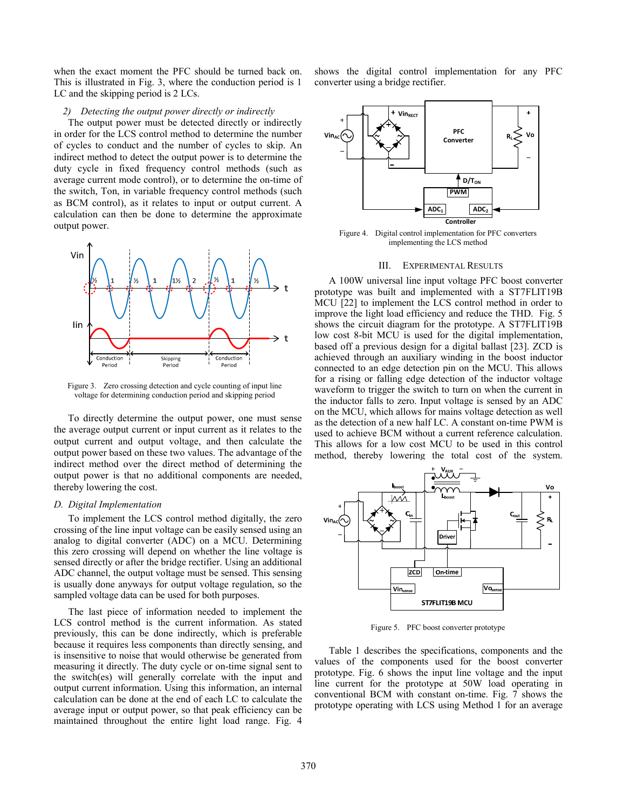when the exact moment the PFC should be turned back on. This is illustrated in Fig. 3, where the conduction period is 1 LC and the skipping period is 2 LCs.

### *2) Detecting the output power directly or indirectly*

The output power must be detected directly or indirectly in order for the LCS control method to determine the number of cycles to conduct and the number of cycles to skip. An indirect method to detect the output power is to determine the duty cycle in fixed frequency control methods (such as average current mode control), or to determine the on-time of the switch, Ton, in variable frequency control methods (such as BCM control), as it relates to input or output current. A calculation can then be done to determine the approximate output power.



Figure 3. Zero crossing detection and cycle counting of input line voltage for determining conduction period and skipping period

To directly determine the output power, one must sense the average output current or input current as it relates to the output current and output voltage, and then calculate the output power based on these two values. The advantage of the indirect method over the direct method of determining the output power is that no additional components are needed, thereby lowering the cost.

#### *D. Digital Implementation*

To implement the LCS control method digitally, the zero crossing of the line input voltage can be easily sensed using an analog to digital converter (ADC) on a MCU. Determining this zero crossing will depend on whether the line voltage is sensed directly or after the bridge rectifier. Using an additional ADC channel, the output voltage must be sensed. This sensing is usually done anyways for output voltage regulation, so the sampled voltage data can be used for both purposes.

The last piece of information needed to implement the LCS control method is the current information. As stated previously, this can be done indirectly, which is preferable because it requires less components than directly sensing, and is insensitive to noise that would otherwise be generated from measuring it directly. The duty cycle or on-time signal sent to the switch(es) will generally correlate with the input and output current information. Using this information, an internal calculation can be done at the end of each LC to calculate the average input or output power, so that peak efficiency can be maintained throughout the entire light load range. Fig. 4

shows the digital control implementation for any PFC converter using a bridge rectifier.



Figure 4. Digital control implementation for PFC converters implementing the LCS method

### III. EXPERIMENTAL RESULTS

A 100W universal line input voltage PFC boost converter prototype was built and implemented with a ST7FLIT19B MCU [22] to implement the LCS control method in order to improve the light load efficiency and reduce the THD. Fig. 5 shows the circuit diagram for the prototype. A ST7FLIT19B low cost 8-bit MCU is used for the digital implementation, based off a previous design for a digital ballast [23]. ZCD is achieved through an auxiliary winding in the boost inductor connected to an edge detection pin on the MCU. This allows for a rising or falling edge detection of the inductor voltage waveform to trigger the switch to turn on when the current in the inductor falls to zero. Input voltage is sensed by an ADC on the MCU, which allows for mains voltage detection as well as the detection of a new half LC. A constant on-time PWM is used to achieve BCM without a current reference calculation. This allows for a low cost MCU to be used in this control method, thereby lowering the total cost of the system.



Figure 5. PFC boost converter prototype

Table 1 describes the specifications, components and the values of the components used for the boost converter prototype. Fig. 6 shows the input line voltage and the input line current for the prototype at 50W load operating in conventional BCM with constant on-time. Fig. 7 shows the prototype operating with LCS using Method 1 for an average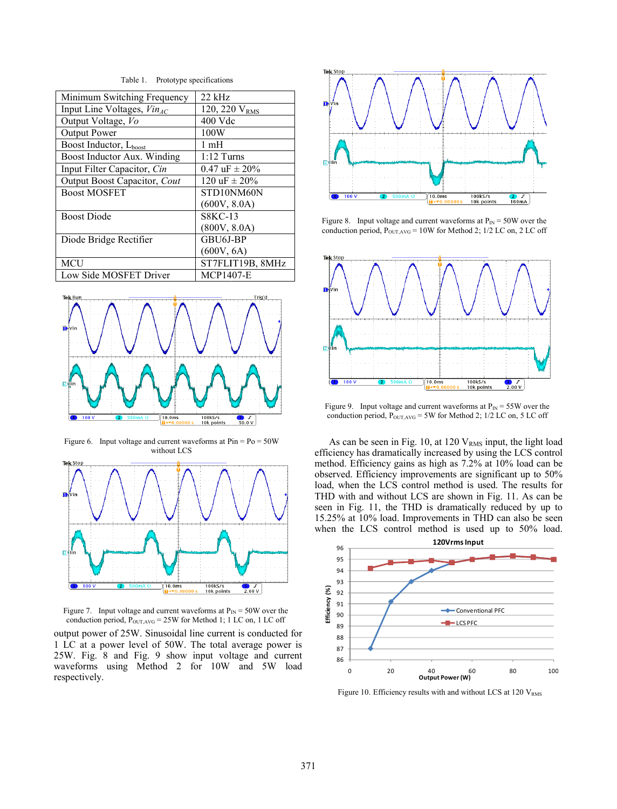Table 1. Prototype specifications

| Table 1. Prototype specifications  |                            |  |
|------------------------------------|----------------------------|--|
| Minimum Switching Frequency        | 22 kHz                     |  |
| Input Line Voltages, $Vin_{AC}$    | 120, 220 V <sub>RMS</sub>  |  |
| Output Voltage, Vo                 | $400$ Vdc                  |  |
| <b>Output Power</b>                | 100W                       |  |
| Boost Inductor, L <sub>boost</sub> | 1 mH                       |  |
| Boost Inductor Aux. Winding        | $1:12$ Turns               |  |
| Input Filter Capacitor, Cin        | $0.47 \text{ uF} \pm 20\%$ |  |
| Output Boost Capacitor, Cout       | 120 uF $\pm$ 20%           |  |
| <b>Boost MOSFET</b>                | STD10NM60N                 |  |
|                                    | (600V, 8.0A)               |  |
| <b>Boost Diode</b>                 | <b>S8KC-13</b>             |  |
|                                    | (800V, 8.0A)               |  |
| Diode Bridge Rectifier             | GBU6J-BP                   |  |
|                                    | (600V, 6A)                 |  |
| <b>MCU</b>                         | ST7FLIT19B, 8MHz           |  |
| Low Side MOSFET Driver             | <b>MCP1407-E</b>           |  |



Figure 6. Input voltage and current waveforms at  $Pin = Po = 50W$ without LCS





output power of 25W. Sinusoidal line current is conducted for 1 LC at a power level of 50W. The total average power is 25W. Fig. 8 and Fig. 9 show input voltage and current waveforms using Method 2 for 10W and 5W load respectively.



Figure 8. Input voltage and current waveforms at  $P_{IN} = 50W$  over the conduction period,  $P_{\text{OUT,AVG}} = 10W$  for Method 2; 1/2 LC on, 2 LC off



Figure 9. Input voltage and current waveforms at  $P_{IN} = 55W$  over the conduction period,  $P_{\text{OUT,AVG}} = 5W$  for Method 2; 1/2 LC on, 5 LC off

As can be seen in Fig. 10, at 120  $V_{RMS}$  input, the light load efficiency has dramatically increased by using the LCS control method. Efficiency gains as high as 7.2% at 10% load can be observed. Efficiency improvements are significant up to 50% load, when the LCS control method is used. The results for THD with and without LCS are shown in Fig. 11. As can be seen in Fig. 11, the THD is dramatically reduced by up to 15.25% at 10% load. Improvements in THD can also be seen when the LCS control method is used up to 50% load.



Figure 10. Efficiency results with and without LCS at 120 VRMS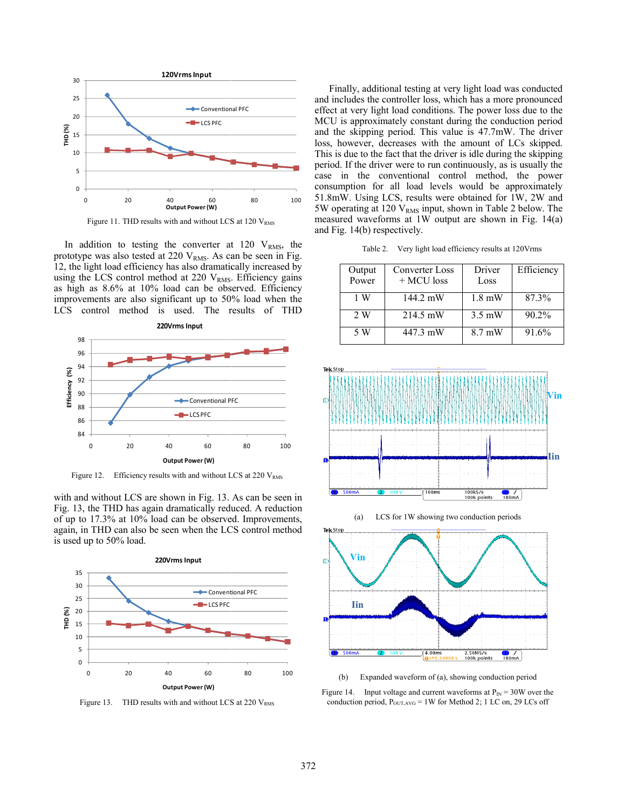

Figure 11. THD results with and without LCS at 120 V<sub>RMS</sub>

In addition to testing the converter at  $120$  V<sub>RMS</sub>, the prototype was also tested at  $220$   $V<sub>RMS</sub>$ . As can be seen in Fig. 12, the light load efficiency has also dramatically increased by using the LCS control method at  $220$  V<sub>RMS</sub>. Efficiency gains as high as 8.6% at 10% load can be obs served. Efficiency improvements are also significant up to 50 % load when the LCS control method is used. The results of THD



Figure 12. Efficiency results with and without LCS at  $220 V_{RMS}$ 

with and without LCS are shown in Fig. 13. As can be seen in Fig. 13, the THD has again dramatically reduced. A reduction of up to 17.3% at 10% load can be observed. Improvements, again, in THD can also be seen when the LCS control method is used up to 50% load.



Figure 13. THD results with and without LCS at 220 V<sub>RMS</sub>

Finally, additional testing at very light load was conducted and includes the controller loss, which has a more pronounced effect at very light load conditions. The power loss due to the MCU is approximately constant during the conduction period and the skipping period. This value is 47.7mW. The driver loss, however, decreases with the amount of LCs skipped. This is due to the fact that the driver is idle during the skipping period. If the driver were to run continuously, as is usually the case in the conventional control method, the power consumption for all load levels w would be approximately 51.8mW. Using LCS, results were obtained for 1W, 2W and 5W operating at 120  $V_{RMS}$  input, shown in Table 2 below. The measured waveforms at  $1W$  output are shown in Fig.  $14(a)$ and Fig. 14(b) respectively.

Table 2. Very light load efficiency results at 120Vrms

| Output<br>Power | Converter Loss<br>$+ MCIJ loss$ | Driver<br>Loss   | Efficiency |
|-----------------|---------------------------------|------------------|------------|
| 1 W             | 144.2 mW                        | $1.8 \text{ mW}$ | 87.3%      |
| 2W              | 214.5 mW                        | $3.5 \text{ mW}$ | $90.2\%$   |
| 5 W             | 447.3 mW                        | 8.7 mW           | 91.6%      |





(b) Expanded waveform of (a), showing conduction period

Figure 14. Input voltage and current waveforms at  $P_{IN} = 30W$  over the conduction period,  $P_{\text{OUT,AVG}} = 1W$  for Method 2; 1 LC on, 29 LCs off